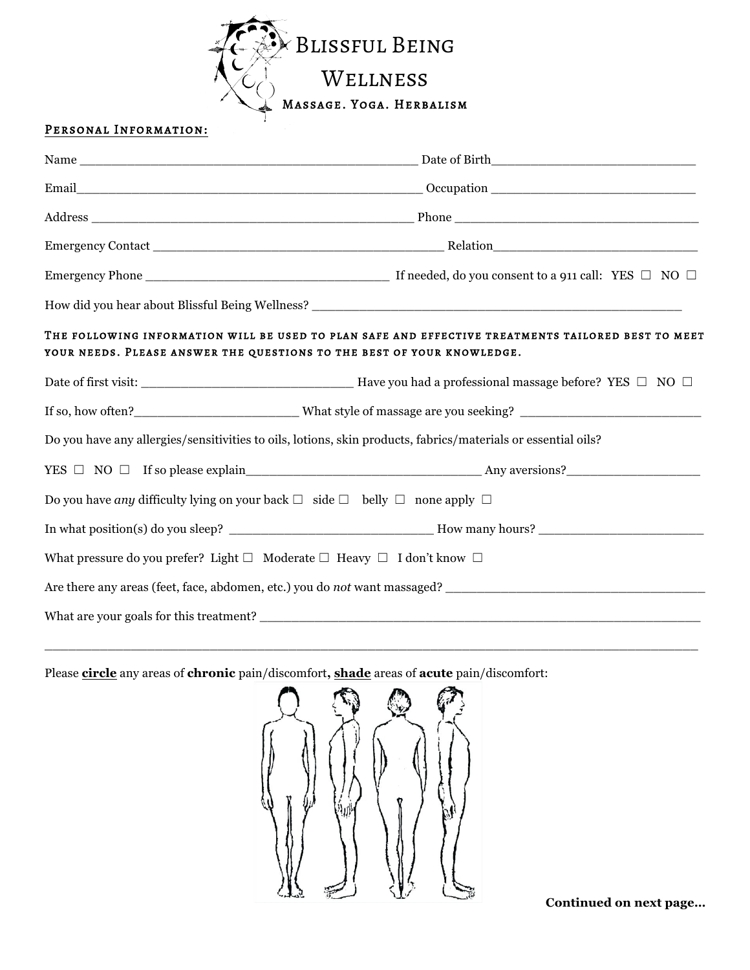

## PERSONAL INFORMATION:

| YOUR NEEDS. PLEASE ANSWER THE QUESTIONS TO THE BEST OF YOUR KNOWLEDGE.                                        | THE FOLLOWING INFORMATION WILL BE USED TO PLAN SAFE AND EFFECTIVE TREATMENTS TAILORED BEST TO MEET |  |  |
|---------------------------------------------------------------------------------------------------------------|----------------------------------------------------------------------------------------------------|--|--|
|                                                                                                               |                                                                                                    |  |  |
|                                                                                                               |                                                                                                    |  |  |
| Do you have any allergies/sensitivities to oils, lotions, skin products, fabrics/materials or essential oils? |                                                                                                    |  |  |
|                                                                                                               | $YES \Box NO \Box If so please explain$ Any aversions?                                             |  |  |
| Do you have any difficulty lying on your back $\Box$ side $\Box$ belly $\Box$ none apply $\Box$               |                                                                                                    |  |  |
|                                                                                                               |                                                                                                    |  |  |
| What pressure do you prefer? Light $\Box$ Moderate $\Box$ Heavy $\Box$ I don't know $\Box$                    |                                                                                                    |  |  |
|                                                                                                               | Are there any areas (feet, face, abdomen, etc.) you do not want massaged?                          |  |  |
|                                                                                                               | What are your goals for this treatment?                                                            |  |  |

Please **circle** any areas of **chronic** pain/discomfort**, shade** areas of **acute** pain/discomfort:



\_\_\_\_\_\_\_\_\_\_\_\_\_\_\_\_\_\_\_\_\_\_\_\_\_\_\_\_\_\_\_\_\_\_\_\_\_\_\_\_\_\_\_\_\_\_\_\_\_\_\_\_\_\_\_\_\_\_\_\_\_\_\_\_\_\_\_\_\_\_\_\_\_\_\_\_\_\_\_\_\_\_\_

**Continued on next page…**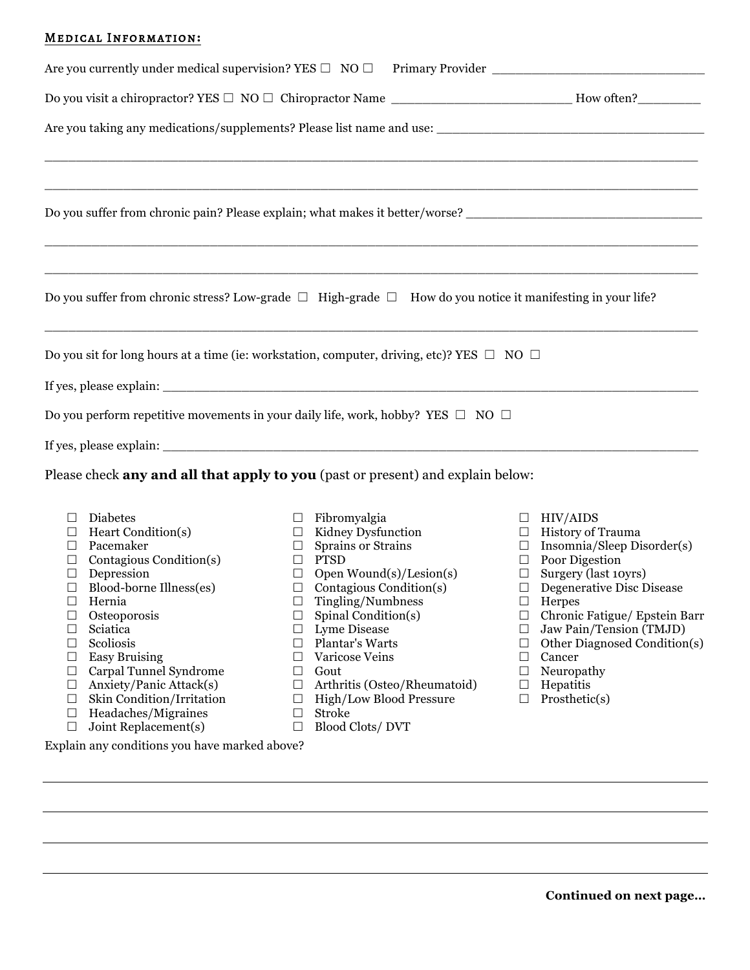## Medical Information**:**

|                                                                                                                                                                                                                                                                                                                                                                                              | Do you visit a chiropractor? YES □ NO □ Chiropractor Name ________________________How often?________                                                                                                                                                                                                                                                                                                                                  |                                                                                                                                                                                                                                                                                                                                                                                                                                   |
|----------------------------------------------------------------------------------------------------------------------------------------------------------------------------------------------------------------------------------------------------------------------------------------------------------------------------------------------------------------------------------------------|---------------------------------------------------------------------------------------------------------------------------------------------------------------------------------------------------------------------------------------------------------------------------------------------------------------------------------------------------------------------------------------------------------------------------------------|-----------------------------------------------------------------------------------------------------------------------------------------------------------------------------------------------------------------------------------------------------------------------------------------------------------------------------------------------------------------------------------------------------------------------------------|
|                                                                                                                                                                                                                                                                                                                                                                                              |                                                                                                                                                                                                                                                                                                                                                                                                                                       |                                                                                                                                                                                                                                                                                                                                                                                                                                   |
|                                                                                                                                                                                                                                                                                                                                                                                              | Do you suffer from chronic pain? Please explain; what makes it better/worse? _________________________________                                                                                                                                                                                                                                                                                                                        |                                                                                                                                                                                                                                                                                                                                                                                                                                   |
|                                                                                                                                                                                                                                                                                                                                                                                              | Do you suffer from chronic stress? Low-grade $\square$ High-grade $\square$ How do you notice it manifesting in your life?                                                                                                                                                                                                                                                                                                            |                                                                                                                                                                                                                                                                                                                                                                                                                                   |
|                                                                                                                                                                                                                                                                                                                                                                                              | Do you sit for long hours at a time (ie: workstation, computer, driving, etc)? YES $\Box$ NO $\Box$<br>If yes, please explain:<br>Do you perform repetitive movements in your daily life, work, hobby? YES $\Box$ NO $\Box$                                                                                                                                                                                                           |                                                                                                                                                                                                                                                                                                                                                                                                                                   |
|                                                                                                                                                                                                                                                                                                                                                                                              |                                                                                                                                                                                                                                                                                                                                                                                                                                       |                                                                                                                                                                                                                                                                                                                                                                                                                                   |
|                                                                                                                                                                                                                                                                                                                                                                                              | Please check any and all that apply to you (past or present) and explain below:                                                                                                                                                                                                                                                                                                                                                       |                                                                                                                                                                                                                                                                                                                                                                                                                                   |
| Diabetes<br>Heart Condition(s)<br>Pacemaker<br>Contagious Condition(s)<br>Depression<br>□<br>Blood-borne Illness(es)<br>Hernia<br>□<br>Osteoporosis<br>Sciatica<br>Scoliosis<br>□<br><b>Easy Bruising</b><br>⊔<br>Carpal Tunnel Syndrome<br>⊔<br>Anxiety/Panic Attack(s)<br>$\Box$<br>Skin Condition/Irritation<br>$\Box$<br>Headaches/Migraines<br>$\Box$<br>Joint Replacement(s)<br>$\Box$ | Fibromyalgia<br>Kidney Dysfunction<br>$\Box$<br>Sprains or Strains<br>ப<br><b>PTSD</b><br>$\Box$<br>Open $Wound(s)/Lesion(s)$<br>$\Box$<br>Contagious Condition(s)<br>П.<br>Tingling/Numbness<br>$\Box$<br>Spinal Condition(s)<br>⊔<br>Lyme Disease<br>□<br>Plantar's Warts<br>□<br>Varicose Veins<br>⊔<br>Gout<br>⊔<br>Arthritis (Osteo/Rheumatoid)<br>□<br>High/Low Blood Pressure<br>□<br>Stroke<br>□<br>Blood Clots/DVT<br>$\Box$ | <b>HIV/AIDS</b><br>ப<br>History of Trauma<br>$\Box$<br>Insomnia/Sleep Disorder(s)<br>$\Box$<br>Poor Digestion<br>$\Box$<br>Surgery (last 10yrs)<br>$\Box$<br><b>Degenerative Disc Disease</b><br>$\Box$<br>$\Box$ Herpes<br>Chronic Fatigue/ Epstein Barr<br>ப<br>Jaw Pain/Tension (TMJD)<br>$\Box$<br>Other Diagnosed Condition(s)<br>□<br>Cancer<br>$\Box$<br>Neuropathy<br>ப<br>Hepatitis<br>$\Box$<br>Prosthetic(s)<br>$\Box$ |
| Explain any conditions you have marked above?                                                                                                                                                                                                                                                                                                                                                |                                                                                                                                                                                                                                                                                                                                                                                                                                       |                                                                                                                                                                                                                                                                                                                                                                                                                                   |

**Continued on next page…**